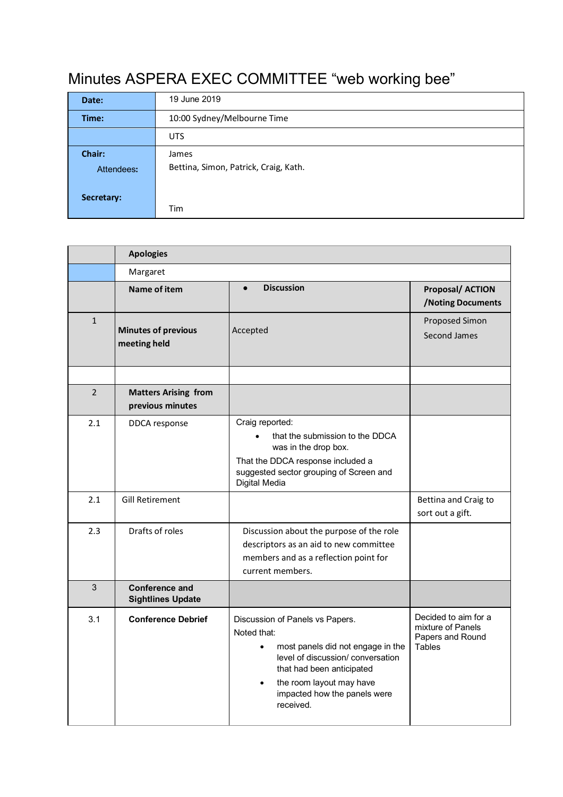## Minutes ASPERA EXEC COMMITTEE "web working bee"

| Date:      | 19 June 2019                          |  |  |
|------------|---------------------------------------|--|--|
| Time:      | 10:00 Sydney/Melbourne Time           |  |  |
|            | <b>UTS</b>                            |  |  |
| Chair:     | James                                 |  |  |
| Attendees: | Bettina, Simon, Patrick, Craig, Kath. |  |  |
|            |                                       |  |  |
| Secretary: |                                       |  |  |
|            | Tim                                   |  |  |

|              | <b>Apologies</b>                                  |                                                                                                                                                                                                                                                          |                                                                                |  |  |
|--------------|---------------------------------------------------|----------------------------------------------------------------------------------------------------------------------------------------------------------------------------------------------------------------------------------------------------------|--------------------------------------------------------------------------------|--|--|
|              | Margaret                                          |                                                                                                                                                                                                                                                          |                                                                                |  |  |
|              | Name of item                                      | <b>Discussion</b><br>$\bullet$                                                                                                                                                                                                                           | <b>Proposal/ ACTION</b><br>/Noting Documents                                   |  |  |
| $\mathbf{1}$ | <b>Minutes of previous</b><br>meeting held        | Accepted                                                                                                                                                                                                                                                 | Proposed Simon<br>Second James                                                 |  |  |
|              |                                                   |                                                                                                                                                                                                                                                          |                                                                                |  |  |
| 2            | <b>Matters Arising from</b><br>previous minutes   |                                                                                                                                                                                                                                                          |                                                                                |  |  |
| 2.1          | DDCA response                                     | Craig reported:<br>that the submission to the DDCA<br>was in the drop box.<br>That the DDCA response included a<br>suggested sector grouping of Screen and<br>Digital Media                                                                              |                                                                                |  |  |
| 2.1          | <b>Gill Retirement</b>                            |                                                                                                                                                                                                                                                          | Bettina and Craig to<br>sort out a gift.                                       |  |  |
| 2.3          | Drafts of roles                                   | Discussion about the purpose of the role<br>descriptors as an aid to new committee<br>members and as a reflection point for<br>current members.                                                                                                          |                                                                                |  |  |
| 3            | <b>Conference and</b><br><b>Sightlines Update</b> |                                                                                                                                                                                                                                                          |                                                                                |  |  |
| 3.1          | <b>Conference Debrief</b>                         | Discussion of Panels vs Papers.<br>Noted that:<br>most panels did not engage in the<br>$\bullet$<br>level of discussion/ conversation<br>that had been anticipated<br>the room layout may have<br>$\bullet$<br>impacted how the panels were<br>received. | Decided to aim for a<br>mixture of Panels<br>Papers and Round<br><b>Tables</b> |  |  |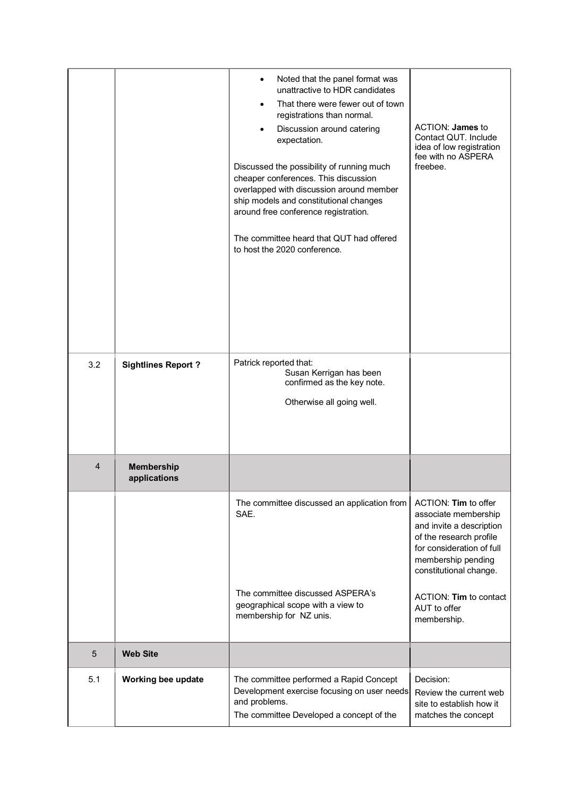|     |                                   | Noted that the panel format was<br>unattractive to HDR candidates<br>That there were fewer out of town<br>registrations than normal.<br>Discussion around catering<br>expectation.<br>Discussed the possibility of running much<br>cheaper conferences. This discussion<br>overlapped with discussion around member<br>ship models and constitutional changes<br>around free conference registration.<br>The committee heard that QUT had offered<br>to host the 2020 conference. | ACTION: James to<br>Contact QUT. Include<br>idea of low registration<br>fee with no ASPERA<br>freebee.                                                                                                                                    |
|-----|-----------------------------------|-----------------------------------------------------------------------------------------------------------------------------------------------------------------------------------------------------------------------------------------------------------------------------------------------------------------------------------------------------------------------------------------------------------------------------------------------------------------------------------|-------------------------------------------------------------------------------------------------------------------------------------------------------------------------------------------------------------------------------------------|
| 3.2 | <b>Sightlines Report?</b>         | Patrick reported that:<br>Susan Kerrigan has been<br>confirmed as the key note.<br>Otherwise all going well.                                                                                                                                                                                                                                                                                                                                                                      |                                                                                                                                                                                                                                           |
| 4   | <b>Membership</b><br>applications |                                                                                                                                                                                                                                                                                                                                                                                                                                                                                   |                                                                                                                                                                                                                                           |
|     |                                   | The committee discussed an application from<br>SAE.<br>The committee discussed ASPERA's<br>geographical scope with a view to<br>membership for NZ unis.                                                                                                                                                                                                                                                                                                                           | ACTION: Tim to offer<br>associate membership<br>and invite a description<br>of the research profile<br>for consideration of full<br>membership pending<br>constitutional change.<br>ACTION: Tim to contact<br>AUT to offer<br>membership. |
|     |                                   |                                                                                                                                                                                                                                                                                                                                                                                                                                                                                   |                                                                                                                                                                                                                                           |
| 5   | <b>Web Site</b>                   |                                                                                                                                                                                                                                                                                                                                                                                                                                                                                   |                                                                                                                                                                                                                                           |
| 5.1 | Working bee update                | The committee performed a Rapid Concept<br>Development exercise focusing on user needs<br>and problems.<br>The committee Developed a concept of the                                                                                                                                                                                                                                                                                                                               | Decision:<br>Review the current web<br>site to establish how it<br>matches the concept                                                                                                                                                    |